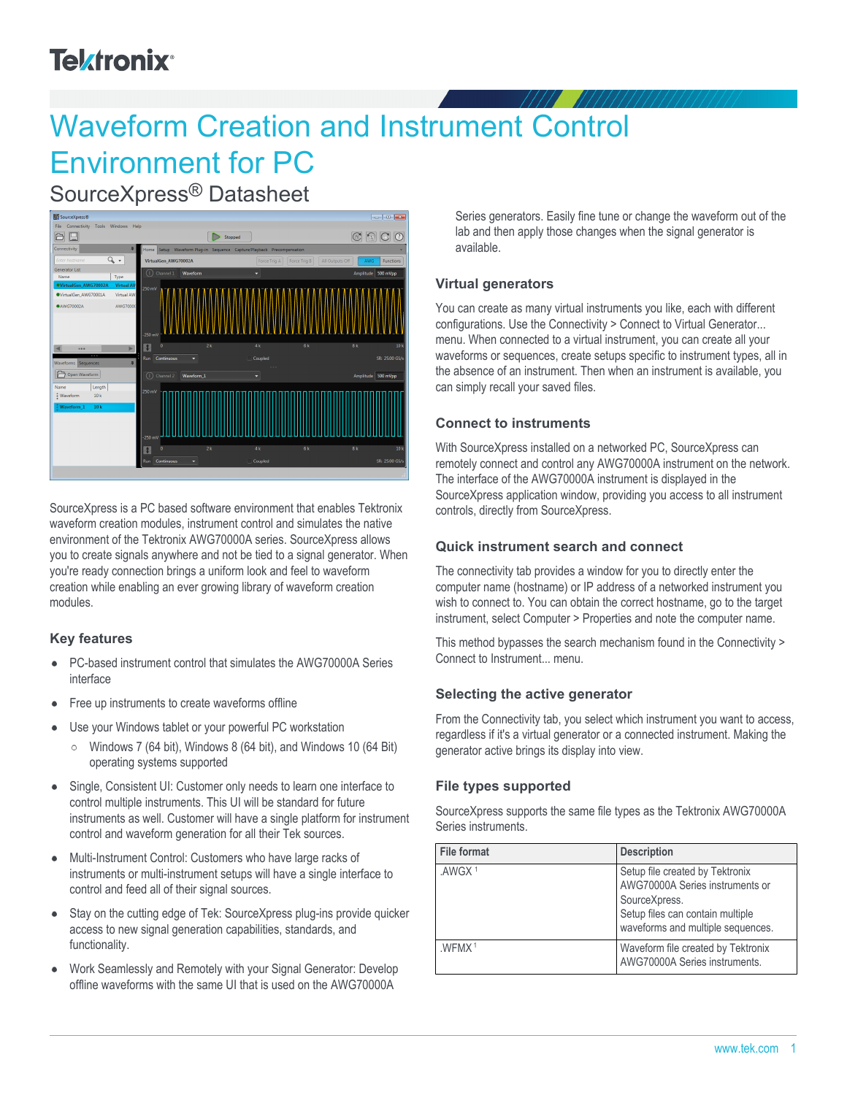# **Telxtronix**<sup>®</sup>

# Waveform Creation and Instrument Control Environment for PC

SourceXpress® Datasheet



SourceXpress is a PC based software environment that enables Tektronix waveform creation modules, instrument control and simulates the native environment of the Tektronix AWG70000A series. SourceXpress allows you to create signals anywhere and not be tied to a signal generator. When you're ready connection brings a uniform look and feel to waveform creation while enabling an ever growing library of waveform creation modules.

#### **Key features**

- PC-based instrument control that simulates the AWG70000A Series  $\bullet$ interface
- Free up instruments to create waveforms offline  $\bullet$
- Use your Windows tablet or your powerful PC workstation
	- $\circ$  Windows 7 (64 bit), Windows 8 (64 bit), and Windows 10 (64 Bit) operating systems supported
- Single, Consistent UI: Customer only needs to learn one interface to  $\bullet$ control multiple instruments. This UI will be standard for future instruments as well. Customer will have a single platform for instrument control and waveform generation for all their Tek sources.
- Multi-Instrument Control: Customers who have large racks of  $\bullet$ instruments or multi-instrument setups will have a single interface to control and feed all of their signal sources.
- Stay on the cutting edge of Tek: SourceXpress plug-ins provide quicker  $\bullet$ access to new signal generation capabilities, standards, and functionality.
- Work Seamlessly and Remotely with your Signal Generator: Develop  $\bullet$ offline waveforms with the same UI that is used on the AWG70000A

Series generators. Easily fine tune or change the waveform out of the lab and then apply those changes when the signal generator is available.

#### **Virtual generators**

You can create as many virtual instruments you like, each with different configurations. Use the Connectivity > Connect to Virtual Generator... menu. When connected to a virtual instrument, you can create all your waveforms or sequences, create setups specific to instrument types, all in the absence of an instrument. Then when an instrument is available, you can simply recall your saved files.

#### **Connect to instruments**

With SourceXpress installed on a networked PC, SourceXpress can remotely connect and control any AWG70000A instrument on the network. The interface of the AWG70000A instrument is displayed in the SourceXpress application window, providing you access to all instrument controls, directly from SourceXpress.

#### **Quick instrument search and connect**

The connectivity tab provides a window for you to directly enter the computer name (hostname) or IP address of a networked instrument you wish to connect to. You can obtain the correct hostname, go to the target instrument, select Computer > Properties and note the computer name.

This method bypasses the search mechanism found in the Connectivity > Connect to Instrument... menu.

#### **Selecting the active generator**

From the Connectivity tab, you select which instrument you want to access, regardless if it's a virtual generator or a connected instrument. Making the generator active brings its display into view.

#### **File types supported**

SourceXpress supports the same file types as the Tektronix AWG70000A Series instruments.

| File format        | <b>Description</b>                                                                                                                                           |
|--------------------|--------------------------------------------------------------------------------------------------------------------------------------------------------------|
| .AWGX <sup>1</sup> | Setup file created by Tektronix<br>AWG70000A Series instruments or<br>SourceXpress.<br>Setup files can contain multiple<br>waveforms and multiple sequences. |
| WFMX <sup>1</sup>  | Waveform file created by Tektronix<br>AWG70000A Series instruments.                                                                                          |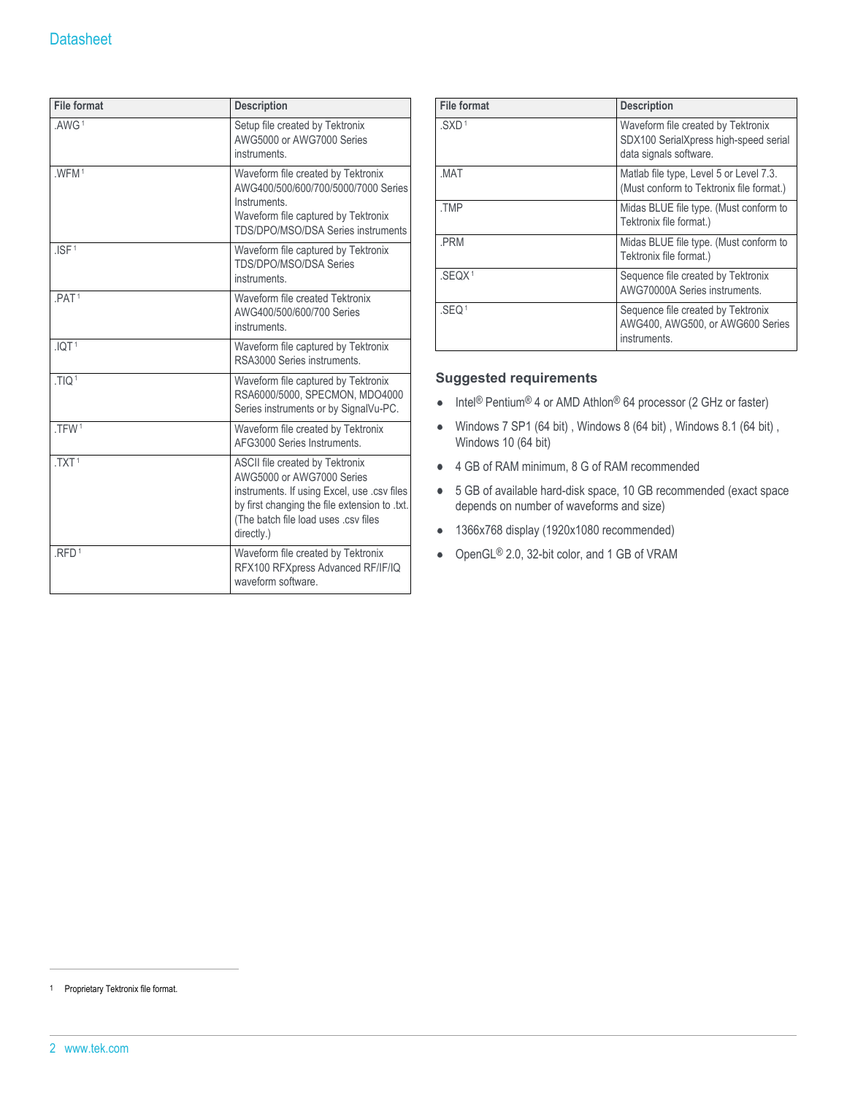| <b>File format</b> | <b>Description</b>                                                                                                                                                                                                 |
|--------------------|--------------------------------------------------------------------------------------------------------------------------------------------------------------------------------------------------------------------|
| .AWG <sup>1</sup>  | Setup file created by Tektronix<br>AWG5000 or AWG7000 Series<br>instruments.                                                                                                                                       |
| .WFM1              | Waveform file created by Tektronix<br>AWG400/500/600/700/5000/7000 Series<br>Instruments.<br>Waveform file captured by Tektronix<br>TDS/DPO/MSO/DSA Series instruments                                             |
| JSF <sup>1</sup>   | Waveform file captured by Tektronix<br>TDS/DPO/MSO/DSA Series<br>instruments.                                                                                                                                      |
| PAT <sup>1</sup>   | Waveform file created Tektronix<br>AWG400/500/600/700 Series<br>instruments.                                                                                                                                       |
| .10T <sup>1</sup>  | Waveform file captured by Tektronix<br>RSA3000 Series instruments.                                                                                                                                                 |
| .TIQ <sup>1</sup>  | Waveform file captured by Tektronix<br>RSA6000/5000, SPECMON, MDO4000<br>Series instruments or by SignalVu-PC.                                                                                                     |
| .TFW1              | Waveform file created by Tektronix<br>AFG3000 Series Instruments                                                                                                                                                   |
| .TXT <sup>1</sup>  | ASCII file created by Tektronix<br>AWG5000 or AWG7000 Series<br>instruments. If using Excel, use .csv files<br>by first changing the file extension to .txt.<br>(The batch file load uses .csv files<br>directly.) |
| RFD <sup>1</sup>   | Waveform file created by Tektronix<br>RFX100 RFXpress Advanced RF/IF/IQ<br>waveform software.                                                                                                                      |

| <b>File format</b>  | <b>Description</b>                                                                                    |
|---------------------|-------------------------------------------------------------------------------------------------------|
| $.SXD$ <sup>1</sup> | Waveform file created by Tektronix<br>SDX100 SerialXpress high-speed serial<br>data signals software. |
| MAT.                | Matlab file type, Level 5 or Level 7.3.<br>(Must conform to Tektronix file format.)                   |
| .TMP                | Midas BLUE file type. (Must conform to<br>Tektronix file format.)                                     |
| .PRM                | Midas BLUE file type. (Must conform to<br>Tektronix file format.)                                     |
| SEOX <sup>1</sup>   | Sequence file created by Tektronix<br>AWG70000A Series instruments.                                   |
| .SEQ <sup>1</sup>   | Sequence file created by Tektronix<br>AWG400, AWG500, or AWG600 Series<br>instruments.                |

#### **Suggested requirements**

- Intel<sup>®</sup> Pentium<sup>®</sup> 4 or AMD Athlon<sup>®</sup> 64 processor (2 GHz or faster)
- Windows 7 SP1 (64 bit) , Windows 8 (64 bit) , Windows 8.1 (64 bit) ,  $\bullet$ Windows 10 (64 bit)
- 4 GB of RAM minimum, 8 G of RAM recommended
- 5 GB of available hard-disk space, 10 GB recommended (exact space depends on number of waveforms and size)
- 1366x768 display (1920x1080 recommended)
- OpenGL® 2.0, 32-bit color, and 1 GB of VRAM

<sup>1</sup> Proprietary Tektronix file format.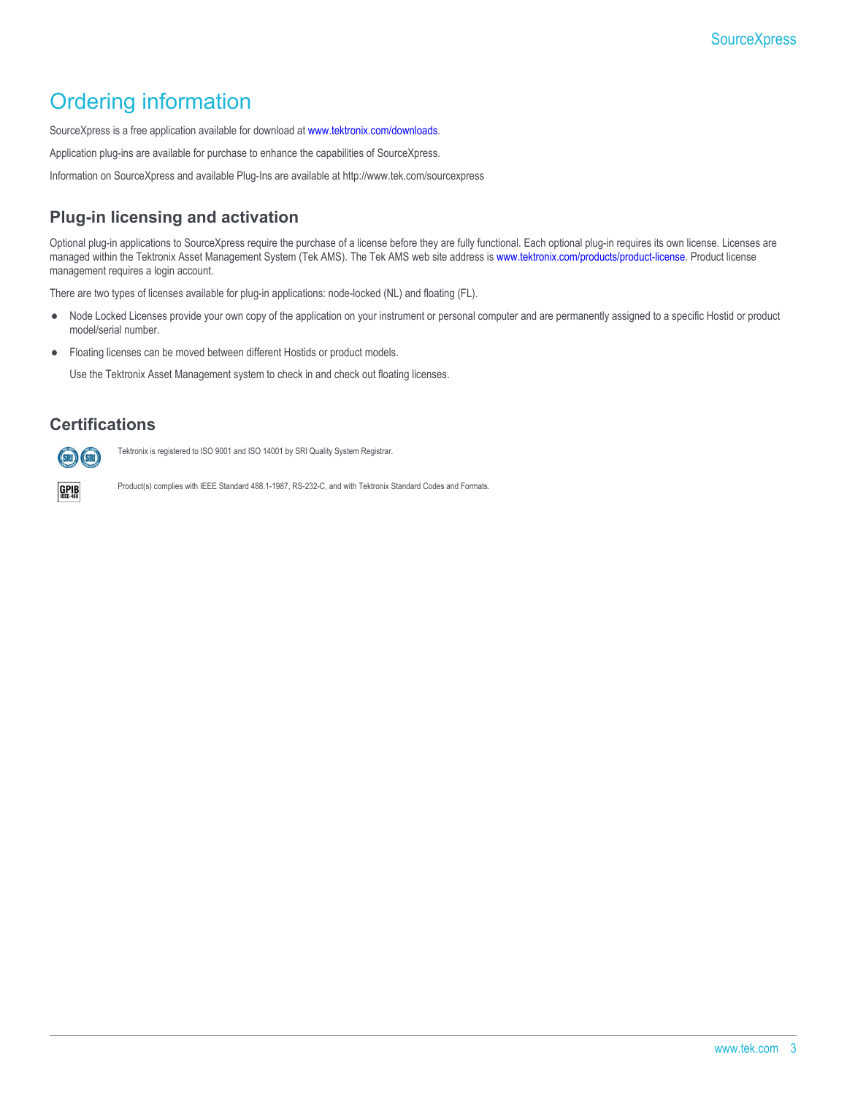## Ordering information

SourceXpress is a free application available for download at [www.tektronix.com/downloads.](http://www.tek.com/downloads)

Application plug-ins are available for purchase to enhance the capabilities of SourceXpress.

Information on SourceXpress and available Plug-Ins are available at http://www.tek.com/sourcexpress

### **Plug-in licensing and activation**

Optional plug-in applications to SourceXpress require the purchase of a license before they are fully functional. Each optional plug-in requires its own license. Licenses are managed within the Tektronix Asset Management System (Tek AMS). The Tek AMS web site address is [www.tektronix.com/products/product-license](http://www.tek.com/products/product-license). Product license management requires a login account.

There are two types of licenses available for plug-in applications: node-locked (NL) and floating (FL).

- Node Locked Licenses provide your own copy of the application on your instrument or personal computer and are permanently assigned to a specific Hostid or product  $\bullet$ model/serial number.
- Floating licenses can be moved between different Hostids or product models.  $\bullet$

Use the Tektronix Asset Management system to check in and check out floating licenses.

### **Certifications**



Tektronix is registered to ISO 9001 and ISO 14001 by SRI Quality System Registrar.

 $GPIB$ 

Product(s) complies with IEEE Standard 488.1-1987, RS-232-C, and with Tektronix Standard Codes and Formats.